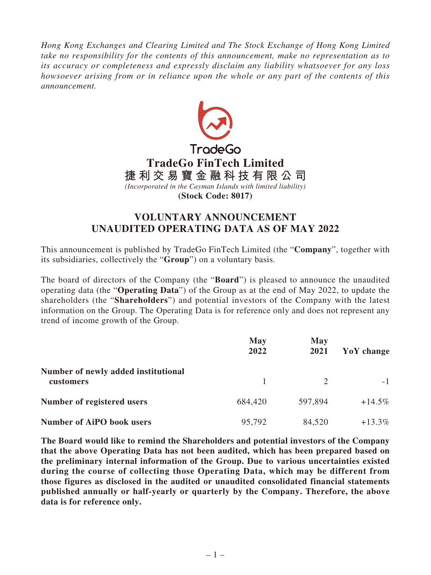*Hong Kong Exchanges and Clearing Limited and The Stock Exchange of Hong Kong Limited take no responsibility for the contents of this announcement, make no representation as to its accuracy or completeness and expressly disclaim any liability whatsoever for any loss howsoever arising from or in reliance upon the whole or any part of the contents of this announcement.*



## **VOLUNTARY ANNOUNCEMENT UNAUDITED OPERATING DATA AS OF MAY 2022**

This announcement is published by TradeGo FinTech Limited (the "**Company**", together with its subsidiaries, collectively the "**Group**") on a voluntary basis.

The board of directors of the Company (the "**Board**") is pleased to announce the unaudited operating data (the "**Operating Data**") of the Group as at the end of May 2022, to update the shareholders (the "**Shareholders**") and potential investors of the Company with the latest information on the Group. The Operating Data is for reference only and does not represent any trend of income growth of the Group.

|                                                  | <b>May</b><br>2022 | <b>May</b><br>2021 | YoY change |
|--------------------------------------------------|--------------------|--------------------|------------|
| Number of newly added institutional<br>customers | $\overline{1}$     |                    | $-1$       |
| Number of registered users                       | 684,420            | 597,894            | $+14.5\%$  |
| <b>Number of AiPO book users</b>                 | 95,792             | 84,520             | $+13.3\%$  |

**The Board would like to remind the Shareholders and potential investors of the Company that the above Operating Data has not been audited, which has been prepared based on the preliminary internal information of the Group. Due to various uncertainties existed during the course of collecting those Operating Data, which may be different from those figures as disclosed in the audited or unaudited consolidated financial statements published annually or half-yearly or quarterly by the Company. Therefore, the above data is for reference only.**